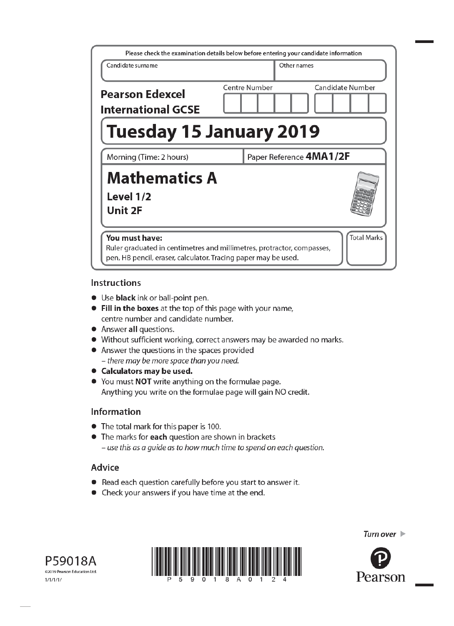| Please check the examination details below before entering your candidate information                                                                      |               |                         |
|------------------------------------------------------------------------------------------------------------------------------------------------------------|---------------|-------------------------|
| Candidate surname                                                                                                                                          |               | Other names             |
| <b>Pearson Edexcel</b><br><b>International GCSE</b>                                                                                                        | Centre Number | <b>Candidate Number</b> |
| <b>Tuesday 15 January 2019</b>                                                                                                                             |               |                         |
| Morning (Time: 2 hours)                                                                                                                                    |               | Paper Reference 4MA1/2F |
| <b>Mathematics A</b><br>Level 1/2<br>Unit 2F                                                                                                               |               |                         |
| You must have:<br>Ruler graduated in centimetres and millimetres, protractor, compasses,<br>pen, HB pencil, eraser, calculator. Tracing paper may be used. |               | <b>Total Marks</b>      |

# **Instructions**

- Use **black** ink or ball-point pen.
- Fill in the boxes at the top of this page with your name, centre number and candidate number.
- Answer all questions.
- Without sufficient working, correct answers may be awarded no marks.
- Answer the questions in the spaces provided - there may be more space than you need.
- Calculators may be used.
- You must NOT write anything on the formulae page. Anything you write on the formulae page will gain NO credit.

# Information

- The total mark for this paper is 100.
- The marks for each question are shown in brackets - use this as a guide as to how much time to spend on each question.

# Advice

- Read each question carefully before you start to answer it.
- Check your answers if you have time at the end.





Turn over  $\blacktriangleright$ 

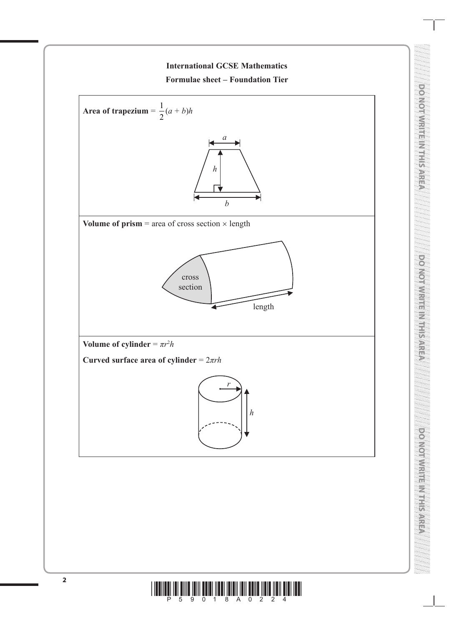

**DO NOT WRITE IN THIS AREA** 

DO NOT WRITE IN THIS AREA

**DO NOT WRITE IN THIS AREA**

**DO NOI WINTERNIER SARED** 

**DO NOT WRITE IN THIS AREA**

pendennkis Nissin

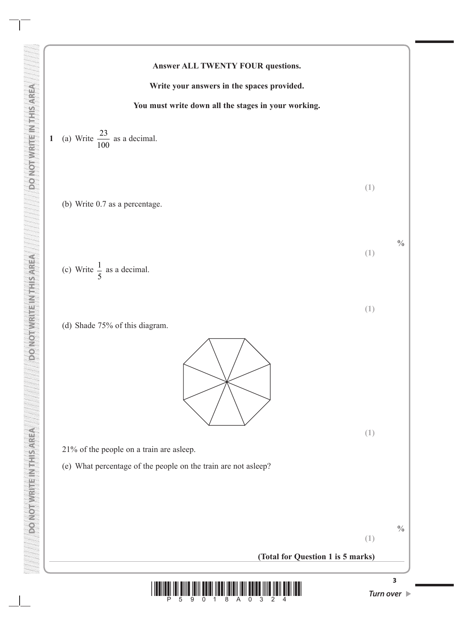#### **Answer ALL TWENTY FOUR questions.**

**Write your answers in the spaces provided.**

#### **You must write down all the stages in your working.**

1 (a) Write 
$$
\frac{23}{100}
$$
 as a decimal.

(b) Write 0.7 as a percentage.

(c) Write 
$$
\frac{1}{5}
$$
 as a decimal.

**DO NOT WRITE IN THIS AREA DO NOT WRITE IN THIS AREA DO NOT WRITE IN THIS AREA**

**DONORIE NEUERICHI** 

**PONOTWEITEINTHISAREA** 

**DONOTHER ESANCES** 

(d) Shade 75% of this diagram.



21% of the people on a train are asleep.

(e) What percentage of the people on the train are not asleep?



**(1)**

**(1)**

**(1)**

**(1)**

**(1)**

 $\frac{0}{0}$ 

**(Total for Question 1 is 5 marks)**

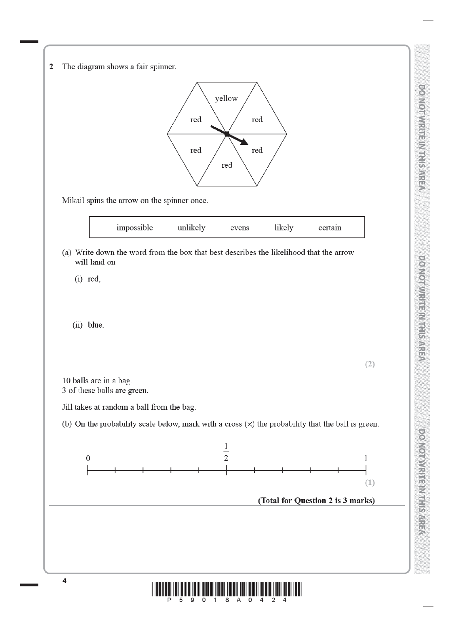| $\overline{2}$ | The diagram shows a fair spinner.                                                                      |
|----------------|--------------------------------------------------------------------------------------------------------|
|                |                                                                                                        |
|                | yellow                                                                                                 |
|                | red<br>red                                                                                             |
|                | red<br>red                                                                                             |
|                | red                                                                                                    |
|                | Mikail spins the arrow on the spinner once.                                                            |
|                |                                                                                                        |
|                | impossible<br>likely<br>unlikely<br>certain<br>evens                                                   |
|                | (a) Write down the word from the box that best describes the likelihood that the arrow<br>will land on |
|                | $(i)$ red,                                                                                             |
|                |                                                                                                        |
|                | (ii) blue.                                                                                             |
|                |                                                                                                        |
|                | (2)                                                                                                    |
|                | 10 balls are in a bag.<br>3 of these balls are green.                                                  |
|                | Jill takes at random a ball from the bag.                                                              |
|                | (b) On the probability scale below, mark with a cross $(x)$ the probability that the ball is green.    |
|                | $\frac{1}{2}$                                                                                          |
|                | $\boldsymbol{0}$<br>1                                                                                  |
|                | (1)                                                                                                    |
|                | (Total for Question 2 is 3 marks)                                                                      |
|                |                                                                                                        |
|                |                                                                                                        |
|                |                                                                                                        |
|                | 4                                                                                                      |
|                |                                                                                                        |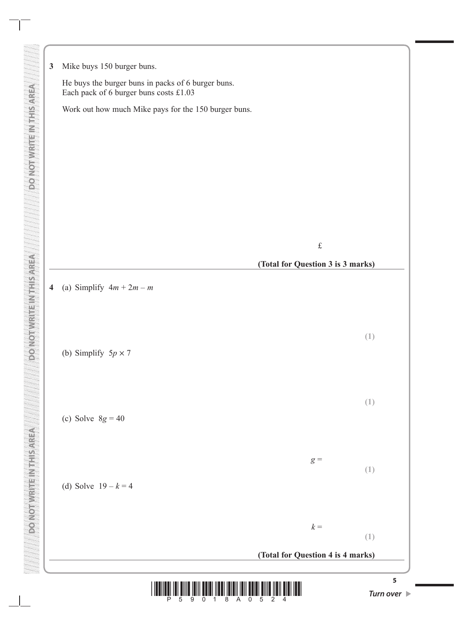

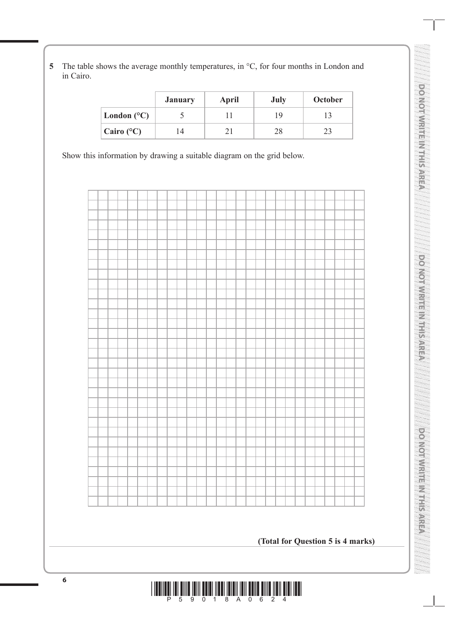**5** The table shows the average monthly temperatures, in °C, for four months in London and in Cairo.

|                      | <b>January</b> | April | <b>July</b> | October |
|----------------------|----------------|-------|-------------|---------|
| London $(^{\circ}C)$ |                |       |             |         |
| Cairo $(^{\circ}C)$  | l 4            |       | 28          |         |

Show this information by drawing a suitable diagram on the grid below.



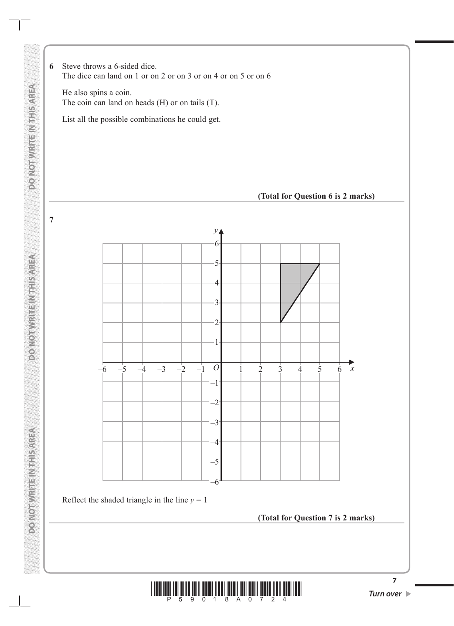**6** Steve throws a 6-sided dice. The dice can land on 1 or on 2 or on 3 or on 4 or on 5 or on 6

He also spins a coin. The coin can land on heads (H) or on tails (T).

List all the possible combinations he could get.





Reflect the shaded triangle in the line  $y = 1$ 

**DO NOT WRITE IN THIS AREA DO NOT WRITE IN THIS AREA DO NOT WRITE IN THIS AREA**

**DONORADO A PROVINCIA** 

**MARINE CONTROLLER** 

**DO NOT WRITE INTERSAREA** 

**7**

**(Total for Question 7 is 2 marks)**



**7**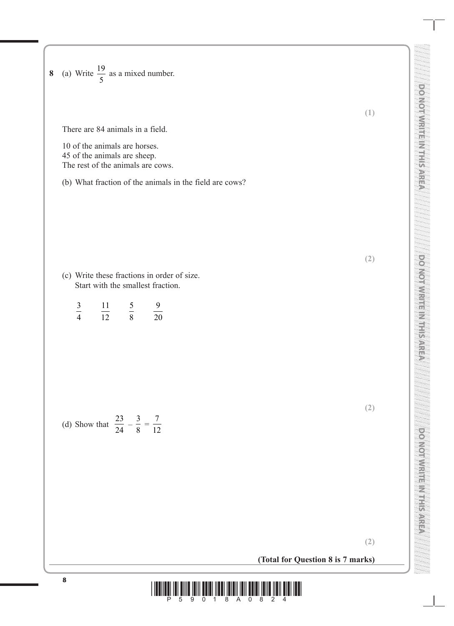| $\boldsymbol{8}$ | (a) Write $\frac{19}{5}$ as a mixed number.                                                        |                                                                           |
|------------------|----------------------------------------------------------------------------------------------------|---------------------------------------------------------------------------|
|                  | There are 84 animals in a field.                                                                   | <b>DO MOINTS AND THE RIGHT</b><br>(1)                                     |
|                  | 10 of the animals are horses.<br>45 of the animals are sheep.<br>The rest of the animals are cows. |                                                                           |
|                  | (b) What fraction of the animals in the field are cows?                                            | É                                                                         |
|                  |                                                                                                    | Marij<br>(2)                                                              |
|                  | (c) Write these fractions in order of size.<br>Start with the smallest fraction.                   | <b>DONOMIAI</b>                                                           |
|                  | $\frac{3}{4}$<br>$rac{5}{8}$<br>$\frac{11}{12}$<br>$\frac{9}{20}$                                  | é                                                                         |
|                  |                                                                                                    | 23                                                                        |
|                  | $\frac{23}{24}$<br>$\frac{3}{8}$<br>$\frac{7}{12}$<br>(d) Show that                                | (2)                                                                       |
|                  |                                                                                                    |                                                                           |
|                  |                                                                                                    | <b>DOMOTIVIEIRE MTHSAREA</b>                                              |
|                  |                                                                                                    | (2)<br>96. a                                                              |
|                  | (Total for Question 8 is 7 marks)                                                                  | ka paga<br>ka pag<br>Kalendar<br>Telefond<br>William<br>an yan<br>Waliofa |

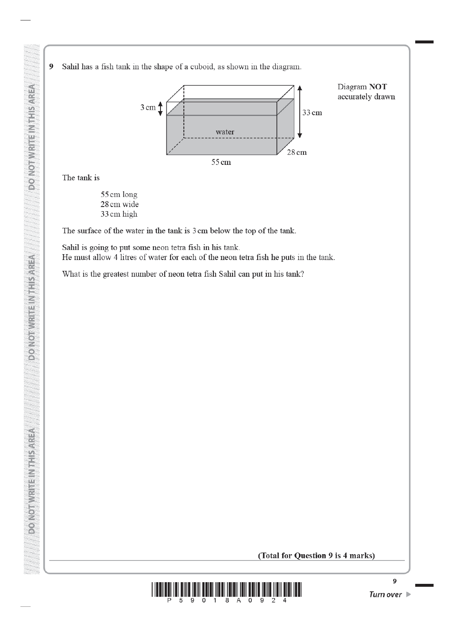Sahil has a fish tank in the shape of a cuboid, as shown in the diagram.  $\boldsymbol{9}$ 



The tank is

**DO NOT WRITEIN THIS AREA** 

**DO NOTWRITEIN IT IS AREA** 

**PO NOT WATER VITA SOVIES** 

55 cm long 28 cm wide 33 cm high

The surface of the water in the tank is 3 cm below the top of the tank.

Sahil is going to put some neon tetra fish in his tank. He must allow 4 litres of water for each of the neon tetra fish he puts in the tank.

What is the greatest number of neon tetra fish Sahil can put in his tank?

## (Total for Question 9 is 4 marks)

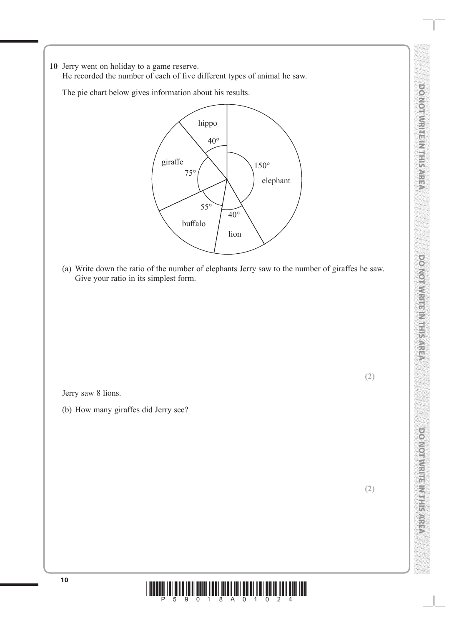**10** Jerry went on holiday to a game reserve. He recorded the number of each of five different types of animal he saw.

The pie chart below gives information about his results.



(a) Write down the ratio of the number of elephants Jerry saw to the number of giraffes he saw. Give your ratio in its simplest form.

Jerry saw 8 lions.

(b) How many giraffes did Jerry see?

**(2)**

**(2)**

**DO NOT WRITE IN THIS AREA**

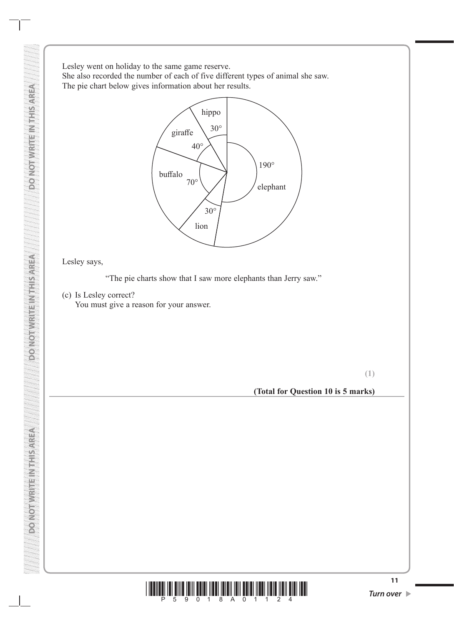Lesley went on holiday to the same game reserve. She also recorded the number of each of five different types of animal she saw. The pie chart below gives information about her results.



## Lesley says,

"The pie charts show that I saw more elephants than Jerry saw."

(c) Is Lesley correct?

You must give a reason for your answer.

**(1)**

**(Total for Question 10 is 5 marks)**



**PONOIDINEEINEE NEEL SONOON** 

**DO NOT WRITE IN THIS AREA**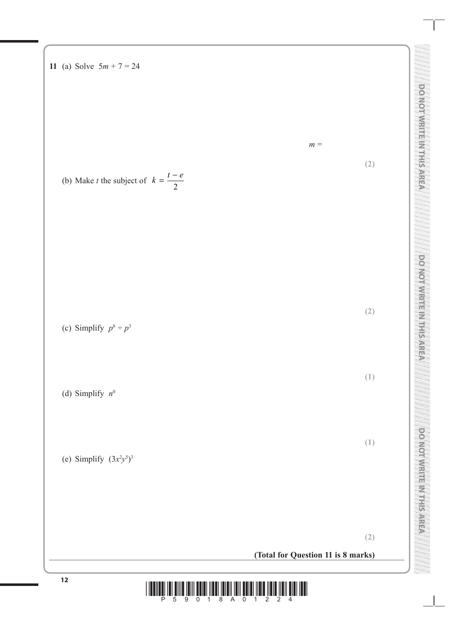

**<sup>12</sup>** \*P59018A01224\*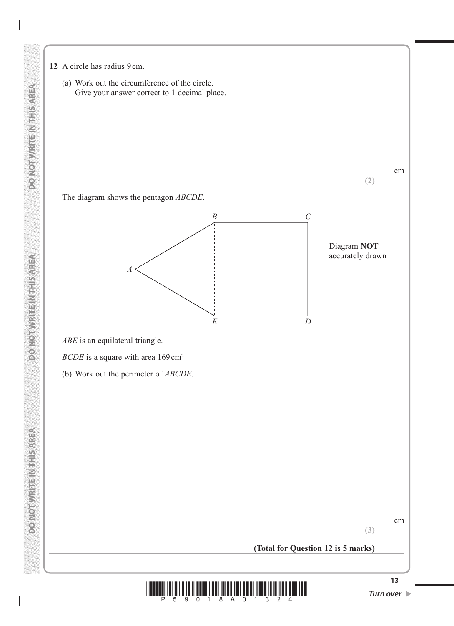- **12** A circle has radius 9cm.
	- (a) Work out the circumference of the circle. Give your answer correct to 1 decimal place.

cm

The diagram shows the pentagon *ABCDE*.



Diagram **NOT** accurately drawn

**(2)**

*ABE* is an equilateral triangle.

**DO NOT WRITE IN THIS AREA DO NOT WRITE IN THIS AREA DO NOT WRITE IN THIS AREA**

**DOUGLARIES** 

**VERVISINES AND LONGE** 

*BCDE* is a square with area 169 cm<sup>2</sup>

(b) Work out the perimeter of *ABCDE*.

cm

**(3)**

**(Total for Question 12 is 5 marks)**

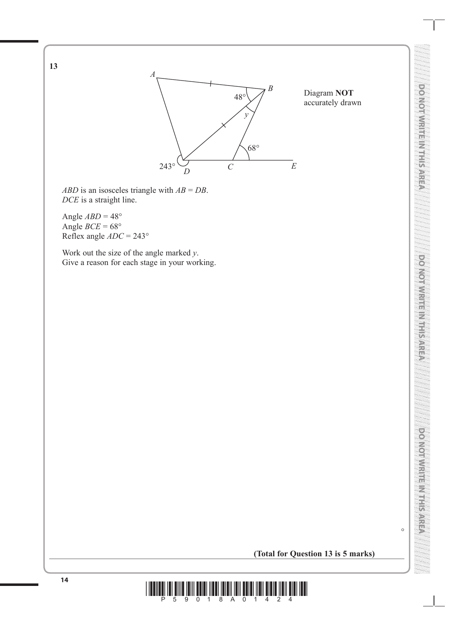

*ABD* is an isosceles triangle with *AB* = *DB*. *DCE* is a straight line.

Angle  $ABD = 48^\circ$ Angle  $BCE = 68^\circ$ Reflex angle *ADC* = 243°

**13**

Work out the size of the angle marked *y*. Give a reason for each stage in your working.

 $\circ$ 

## **(Total for Question 13 is 5 marks)**

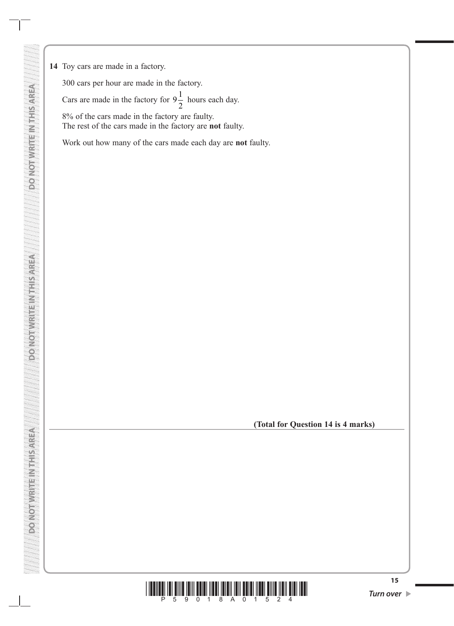**14** Toy cars are made in a factory.

**DO NOT WRITE IN THIS AREA DO NOT WRITE IN THIS AREA DO NOT WRITE IN THIS AREA**

**DO NOT WRITE IN THIS AREA** 

**DO NOT WRITE INTERAREA** 

**DO NOT WRITE NITHIS AREA** 

300 cars per hour are made in the factory. Cars are made in the factory for  $9\frac{1}{2}$  hours each day. 8% of the cars made in the factory are faulty. The rest of the cars made in the factory are **not** faulty.

Work out how many of the cars made each day are **not** faulty.

**(Total for Question 14 is 4 marks)**

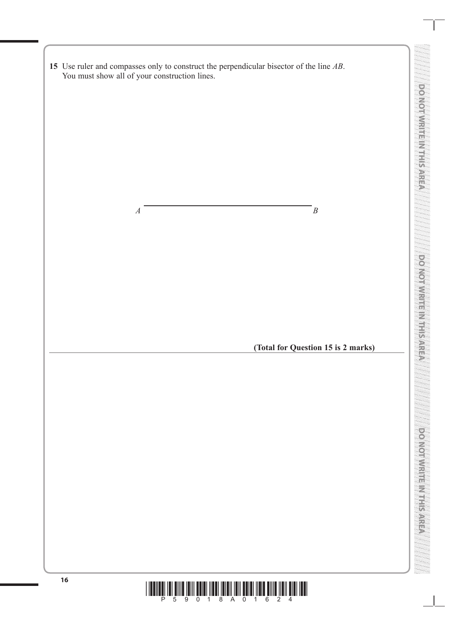|    | You must show all of your construction lines. | 15 Use ruler and compasses only to construct the perpendicular bisector of the line $AB$ . |  |
|----|-----------------------------------------------|--------------------------------------------------------------------------------------------|--|
|    |                                               |                                                                                            |  |
|    |                                               |                                                                                            |  |
|    |                                               |                                                                                            |  |
|    |                                               |                                                                                            |  |
|    |                                               |                                                                                            |  |
|    |                                               |                                                                                            |  |
|    |                                               |                                                                                            |  |
|    | $\boldsymbol{A}$                              | $\overline{B}$                                                                             |  |
|    |                                               |                                                                                            |  |
|    |                                               |                                                                                            |  |
|    |                                               |                                                                                            |  |
|    |                                               |                                                                                            |  |
|    |                                               |                                                                                            |  |
|    |                                               |                                                                                            |  |
|    |                                               | (Total for Question 15 is 2 marks)                                                         |  |
|    |                                               |                                                                                            |  |
|    |                                               |                                                                                            |  |
|    |                                               |                                                                                            |  |
|    |                                               |                                                                                            |  |
|    |                                               |                                                                                            |  |
|    |                                               |                                                                                            |  |
|    |                                               |                                                                                            |  |
|    |                                               |                                                                                            |  |
|    |                                               |                                                                                            |  |
|    |                                               |                                                                                            |  |
|    |                                               |                                                                                            |  |
|    |                                               |                                                                                            |  |
|    |                                               |                                                                                            |  |
| 16 |                                               |                                                                                            |  |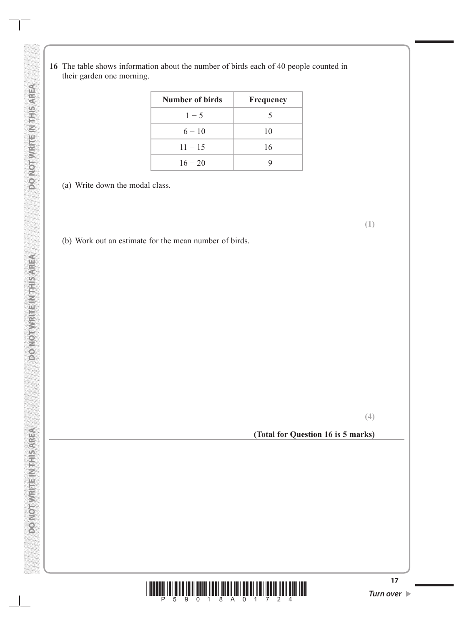**16** The table shows information about the number of birds each of 40 people counted in their garden one morning.

| Number of birds | Frequency |
|-----------------|-----------|
| $1 - 5$         | 5         |
| $6 - 10$        | 10        |
| $11 - 15$       | 16        |
| $16 - 20$       |           |

- (a) Write down the modal class.
- (b) Work out an estimate for the mean number of birds.

**(4)**

**(1)**

## **(Total for Question 16 is 5 marks)**



**VERVISITING ISSUED NOTIFIED**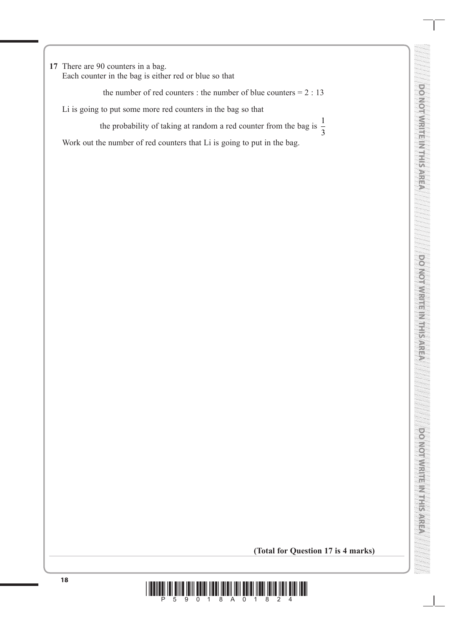**17** There are 90 counters in a bag.

Each counter in the bag is either red or blue so that

the number of red counters : the number of blue counters  $= 2 : 13$ 

Li is going to put some more red counters in the bag so that

the probability of taking at random a red counter from the bag is  $\frac{1}{2}$ 3

Work out the number of red counters that Li is going to put in the bag.

**DO NOT WRITE IN THIS AREA**

**Do Working Street, New Article** 

**(Total for Question 17 is 4 marks)**

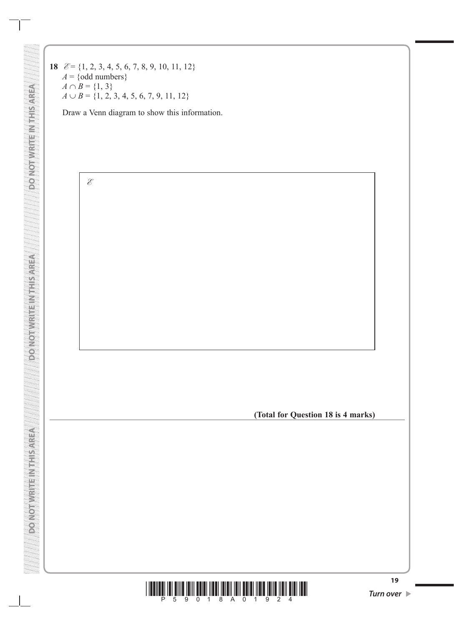**18 E** = {1, 2, 3, 4, 5, 6, 7, 8, 9, 10, 11, 12}  $A = \{odd numbers\}$  $A \cap B = \{1, 3\}$  $A \cup B = \{1, 2, 3, 4, 5, 6, 7, 9, 11, 12\}$ 

**DO NOT WRITE IN THIS AREA DO NOT WRITE IN THIS AREA DO NOT WRITE IN THIS AREA**

DONOT WRITEI NIH SARREA

**DO NOT WRITE NT I SAREA** 

**DO NOT WRITE NITHIS AREA** 

Draw a Venn diagram to show this information.



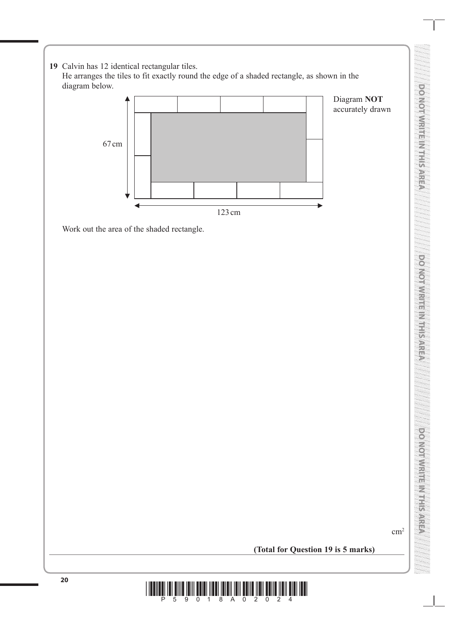**DO MOI WRITER METSTREA DO NOT WRITE IN THIS AREA DONOIN, PRIMERING PREPAREN DO NOT WRITE IN THIS AREA DONOMININE MANISANIA DO NOT WRITE IN THIS AREA**

**19** Calvin has 12 identical rectangular tiles. He arranges the tiles to fit exactly round the edge of a shaded rectangle, as shown in the diagram below.

Work out the area of the shaded rectangle.



Diagram **NOT** accurately drawn

 $\text{cm}^2$ 

**(Total for Question 19 is 5 marks)**

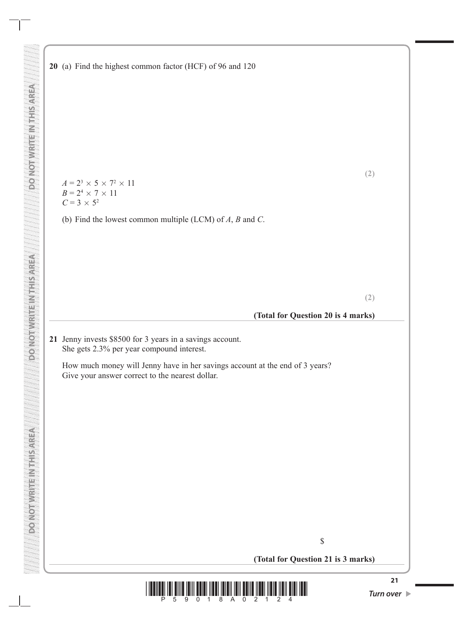$A = 2^3 \times 5 \times 7^2 \times 11$  $B = 2^4 \times 7 \times 11$  $C = 3 \times 5^2$ 

**DO NOT WRITE IN THIS AREA DO NOT WRITE IN THIS AREA DO NOT WRITE IN THIS AREA**

**DOUGLASS AND SEARCH DESCRIPTION** 

**PONOTIVE HEIMEDIC OF** 

**VERVISINES AND LONGE** 

(b) Find the lowest common multiple (LCM) of *A*, *B* and *C*.

**(2)**

#### **(Total for Question 20 is 4 marks)**

**21** Jenny invests \$8500 for 3 years in a savings account. She gets 2.3% per year compound interest.

How much money will Jenny have in her savings account at the end of 3 years? Give your answer correct to the nearest dollar.

\$

**(Total for Question 21 is 3 marks)**

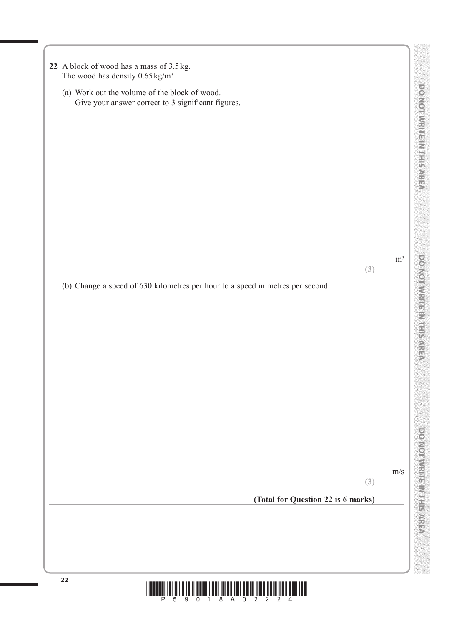| 22 A block of wood has a mass of 3.5 kg.   |
|--------------------------------------------|
| The wood has density $0.65 \text{ kg/m}^3$ |

(a) Work out the volume of the block of wood. Give your answer correct to 3 significant figures.

**(3)**

 $m<sup>3</sup>$ 

**DO NOT WRITE IN THIS AREA** 

DO MOI WRITER MERSORED

**DO NOT WRITE IN THIS AREA**

po Norwritis Christian

(b) Change a speed of 630 kilometres per hour to a speed in metres per second.

m/s

**(3)**

**DO NOT WRITE IN THIS AREA**

**DENTRAL PRODUCTION CONTROL** 

**(Total for Question 22 is 6 marks)**

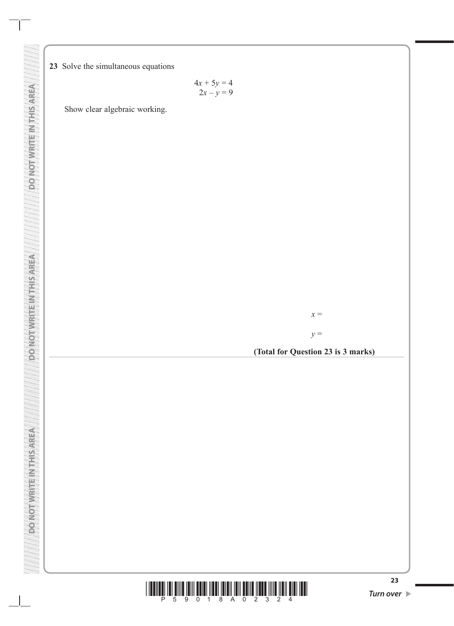**23** Solve the simultaneous equations

 $4x + 5y = 4$  $2x - y = 9$ 

Show clear algebraic working.

*x* =

*y* =

**(Total for Question 23 is 3 marks)**



**DO NOT WRITEIN THIS AREA** 

**ASSISTED MISLIPPING ON COLLEGE**